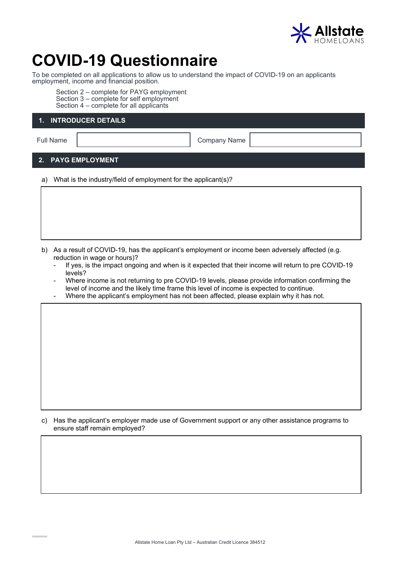

# **COVID-19 Questionnaire**

To be completed on all applications to allow us to understand the impact of COVID-19 on an applicants employment, income and financial position.

Section 2 – complete for PAYG employment Section 3 – complete for self employment Section 4 – complete for all applicants

## **1. INTRODUCER DETAILS**

Full Name | Company Name | Company Name | Company Name | Company Name | Company Name | Company Name | Company Name | Company Name | Company Name | Company Name | Company Name | Company Name | Company Name | Company Name |

## **2. PAYG EMPLOYMENT**

a) What is the industry/field of employment for the applicant(s)?

- b) As a result of COVID-19, has the applicant's employment or income been adversely affected (e.g. reduction in wage or hours)?
	- If yes, is the impact ongoing and when is it expected that their income will return to pre COVID-19 levels?
	- Where income is not returning to pre COVID-19 levels, please provide information confirming the level of income and the likely time frame this level of income is expected to continue.
	- Where the applicant's employment has not been affected, please explain why it has not.

c) Has the applicant's employer made use of Government support or any other assistance programs to ensure staff remain employed?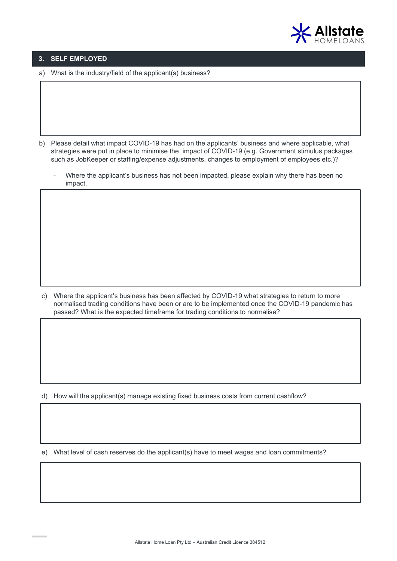

### **3. SELF EMPLOYED**

a) What is the industry/field of the applicant(s) business?

- b) Please detail what impact COVID-19 has had on the applicants' business and where applicable, what strategies were put in place to minimise the impact of COVID-19 (e.g. Government stimulus packages such as JobKeeper or staffing/expense adjustments, changes to employment of employees etc.)?
	- Where the applicant's business has not been impacted, please explain why there has been no impact.

c) Where the applicant's business has been affected by COVID-19 what strategies to return to more normalised trading conditions have been or are to be implemented once the COVID-19 pandemic has passed? What is the expected timeframe for trading conditions to normalise?

d) How will the applicant(s) manage existing fixed business costs from current cashflow?

e) What level of cash reserves do the applicant(s) have to meet wages and loan commitments?